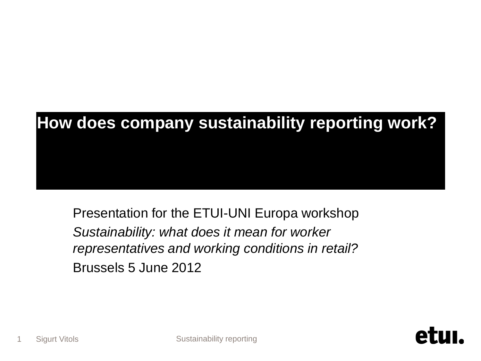# **How does company sustainability reporting work?**

Presentation for the ETUI-UNI Europa workshop *Sustainability: what does it mean for worker representatives and working conditions in retail?*  Brussels 5 June 2012

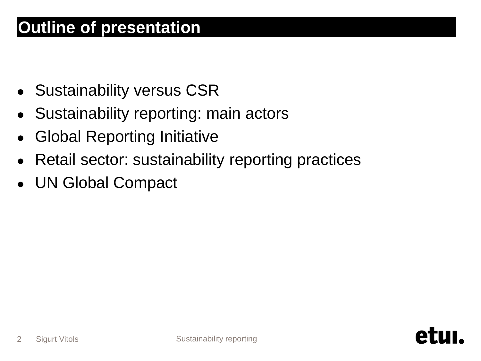### **Outline of presentation**

- **Sustainability versus CSR**
- Sustainability reporting: main actors
- **Global Reporting Initiative**
- Retail sector: sustainability reporting practices
- UN Global Compact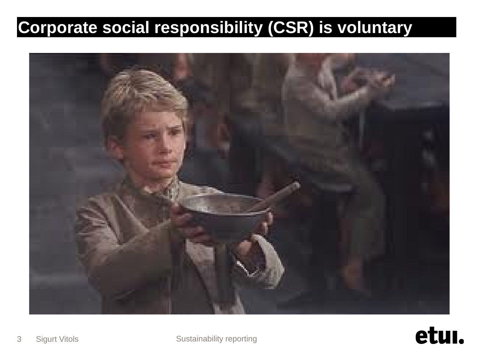## **Corporate social responsibility (CSR) is voluntary**

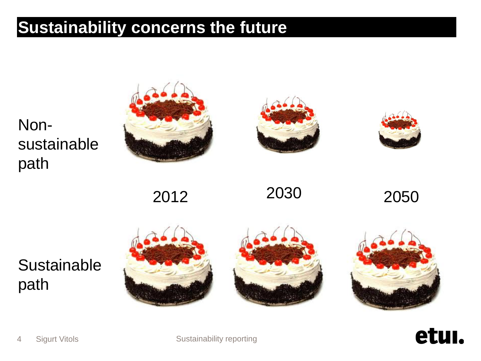#### **Sustainability concerns the future**

Nonsustainable path







2012 2030 2050

### **Sustainable** path





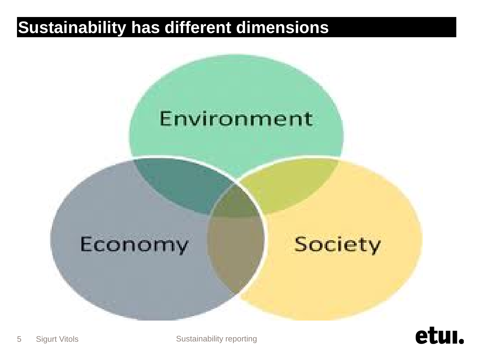#### **Sustainability has different dimensions**



## Economy

**Society** 



5 Sigurt Vitols **Sustainability reporting** 

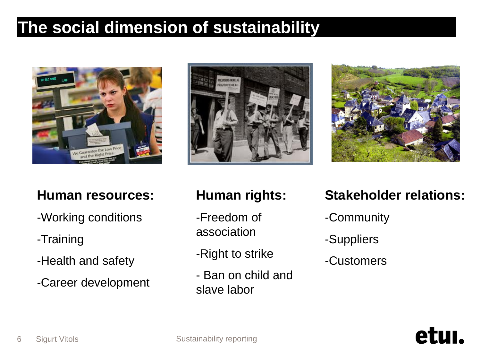#### **The social dimension of sustainability**



#### **Human resources:**

- -Working conditions
- -Training
- -Health and safety
- -Career development





#### **Human rights:**

- -Freedom of association
- -Right to strike
- Ban on child and slave labor

#### **Stakeholder relations:**

etur

- -Community
- -Suppliers
- -Customers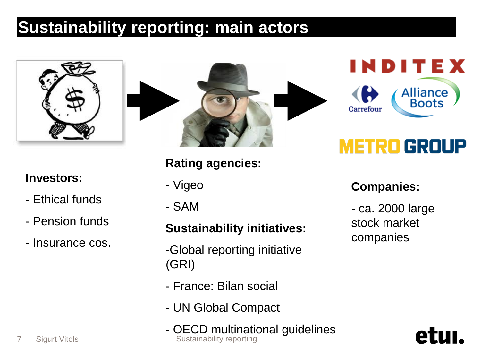## **Sustainability reporting: main actors**



#### **Investors:**

- Ethical funds
- Pension funds
- Insurance cos.



#### **Rating agencies:**

- Vigeo
- SAM

#### **Sustainability initiatives:**

- -Global reporting initiative (GRI)
- France: Bilan social
- UN Global Compact
- OECD multinational guidelines 7 Sigurt Vitols **Sustainability reporting**



## **METRO GROUP**

#### **Companies:**

- ca. 2000 large stock market companies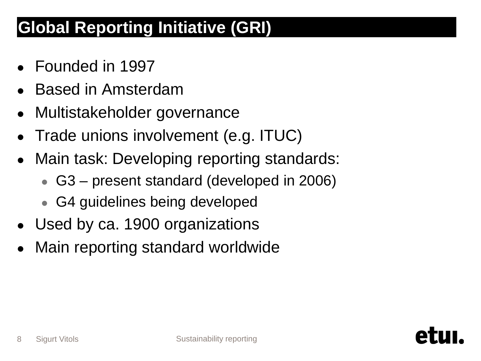## **Global Reporting Initiative (GRI)**

- Founded in 1997
- **Based in Amsterdam**
- Multistakeholder governance
- Trade unions involvement (e.g. ITUC)
- Main task: Developing reporting standards:
	- G3 present standard (developed in 2006)
	- G4 guidelines being developed
- Used by ca. 1900 organizations
- Main reporting standard worldwide

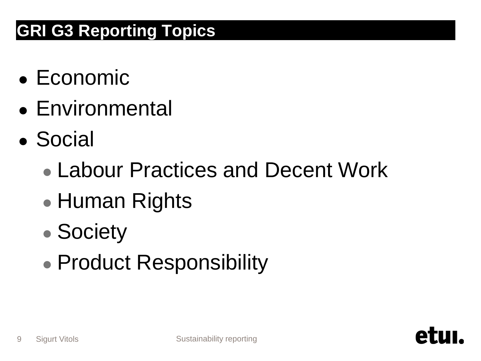## **GRI G3 Reporting Topics**

- $\bullet$  Economic
- Environmental
- Social
	- Labour Practices and Decent Work
	- Human Rights
	- Society
	- Product Responsibility

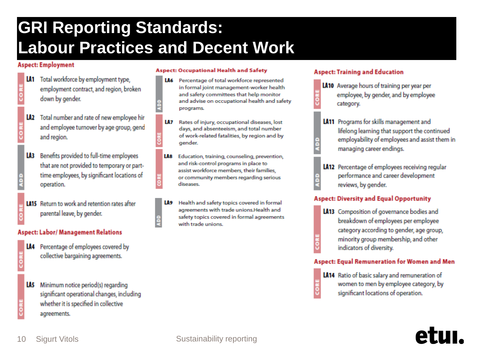## **GRI Reporting Standards: Labour Practices and Decent Work**

å

#### **Aspect: Employment**

- LA1 Total workforce by employment type, employment contract, and region, broken down by gender.
- LA2 Total number and rate of new employee hir and employee turnover by age group, gend and region.
- LA3 Benefits provided to full-time employees that are not provided to temporary or parttime employees, by significant locations of operation.
- **LA15** Return to work and retention rates after parental leave, by gender.

#### **Aspect: Labor/ Management Relations**

- 
- LA4 Percentage of employees covered by collective bargaining agreements.
	- LA5 Minimum notice period(s) regarding significant operational changes, including whether it is specified in collective agreements.

#### **Aspect: Occupational Health and Safety**

- Percentage of total workforce represented LA6 in formal joint management-worker health and safety committees that help monitor and advise on occupational health and safety programs.
- LA7 Rates of injury, occupational diseases, lost days, and absenteeism, and total number of work-related fatalities, by region and by gender.
- LA8 Education, training, counseling, prevention, and risk-control programs in place to assist workforce members, their families, or community members regarding serious diseases.
- LA9 Health and safety topics covered in formal agreements with trade unions. Health and safety topics covered in formal agreements with trade unions.

#### **Aspect: Training and Education**

- LA10 Average hours of training per year per employee, by gender, and by employee category.
- LA11 Programs for skills management and lifelong learning that support the continued employability of employees and assist them in managing career endings.
- LA12 Percentage of employees receiving regular performance and career development reviews, by gender.

#### **Aspect: Diversity and Equal Opportunity**

LA13 Composition of governance bodies and breakdown of employees per employee category according to gender, age group, minority group membership, and other indicators of diversity.

#### **Aspect: Equal Remuneration for Women and Men**

LA14 Ratio of basic salary and remuneration of women to men by employee category, by significant locations of operation.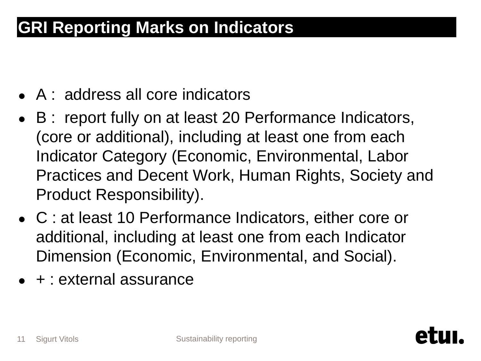### **GRI Reporting Marks on Indicators**

- A : address all core indicators
- B : report fully on at least 20 Performance Indicators, (core or additional), including at least one from each Indicator Category (Economic, Environmental, Labor Practices and Decent Work, Human Rights, Society and Product Responsibility).
- C : at least 10 Performance Indicators, either core or additional, including at least one from each Indicator Dimension (Economic, Environmental, and Social).
- $\bullet$  + : external assurance

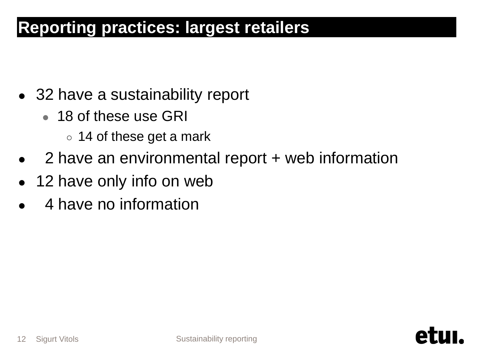#### **Reporting practices: largest retailers**

- 32 have a sustainability report
	- 18 of these use GRI
		- 14 of these get a mark
- 2 have an environmental report + web information
- 12 have only info on web
- 4 have no information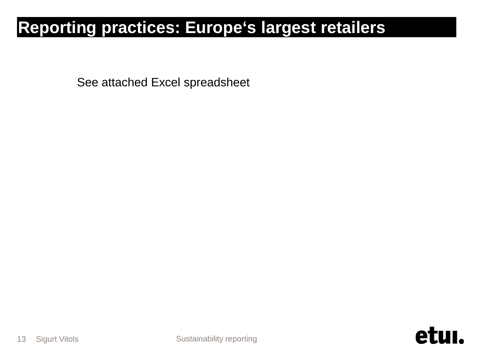### **Reporting practices: Europe's largest retailers**

See attached Excel spreadsheet

etul.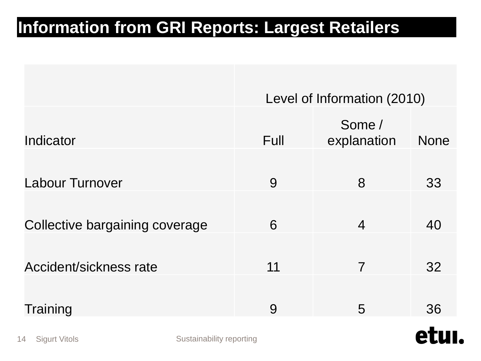#### **Information from GRI Reports: Largest Retailers**

|                                |                          | Level of Information (2010) |                       |             |
|--------------------------------|--------------------------|-----------------------------|-----------------------|-------------|
| Indicator                      |                          | Full                        | Some /<br>explanation | <b>None</b> |
| <b>Labour Turnover</b>         |                          | 9                           | 8                     | 33          |
| Collective bargaining coverage |                          | 6                           | $\overline{4}$        | 40          |
| Accident/sickness rate         |                          | 11                          | $\overline{7}$        | 32          |
| Training                       |                          | 9                           | 5                     | 36          |
| 4 Sigurt Vitols                | Sustainability reporting |                             |                       | e           |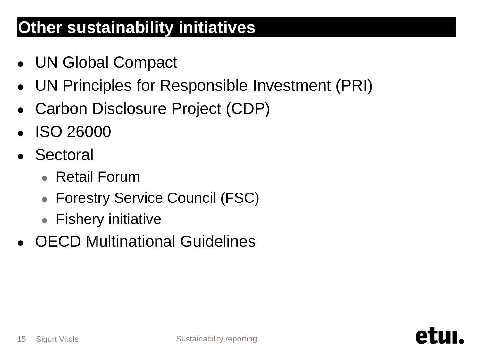### **Other sustainability initiatives**

- UN Global Compact
- UN Principles for Responsible Investment (PRI)
- Carbon Disclosure Project (CDP)
- ISO 26000
- Sectoral
	- Retail Forum
	- Forestry Service Council (FSC)
	- Fishery initiative
- OECD Multinational Guidelines

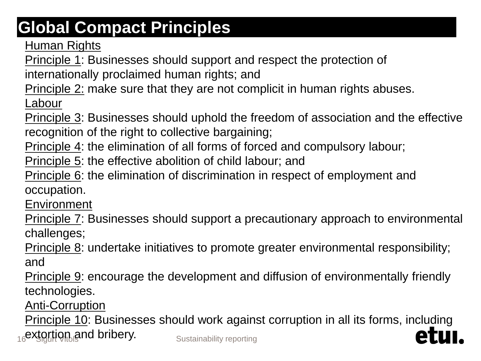## **Global Compact Principles**

**[Human Rights](http://www.unglobalcompact.org/AboutTheGC/TheTenPrinciples/humanRights.html)** 

[Principle 1](http://www.unglobalcompact.org/AboutTheGC/TheTenPrinciples/principle1.html): Businesses should support and respect the protection of internationally proclaimed human rights; and

[Principle 2:](http://www.unglobalcompact.org/AboutTheGC/TheTenPrinciples/Principle2.html) make sure that they are not complicit in human rights abuses.

[Labour](http://www.unglobalcompact.org/AboutTheGC/TheTenPrinciples/labour.html)

[Principle 3](http://www.unglobalcompact.org/AboutTheGC/TheTenPrinciples/principle3.html): Businesses should uphold the freedom of association and the effective recognition of the right to collective bargaining;

[Principle 4](http://www.unglobalcompact.org/AboutTheGC/TheTenPrinciples/Principle4.html): the elimination of all forms of forced and compulsory labour;

[Principle 5](http://www.unglobalcompact.org/AboutTheGC/TheTenPrinciples/principle5.html): the effective abolition of child labour; and

[Principle 6](http://www.unglobalcompact.org/AboutTheGC/TheTenPrinciples/principle6.html): the elimination of discrimination in respect of employment and occupation.

**[Environment](http://www.unglobalcompact.org/AboutTheGC/TheTenPrinciples/environment.html)** 

[Principle 7](http://www.unglobalcompact.org/AboutTheGC/TheTenPrinciples/principle7.html): Businesses should support a precautionary approach to environmental challenges;

[Principle 8](http://www.unglobalcompact.org/AboutTheGC/TheTenPrinciples/principle8.html): undertake initiatives to promote greater environmental responsibility; and

[Principle 9](http://www.unglobalcompact.org/AboutTheGC/TheTenPrinciples/principle9.html): encourage the development and diffusion of environmentally friendly technologies.

[Anti-Corruption](http://www.unglobalcompact.org/AboutTheGC/TheTenPrinciples/anti-corruption.html)

16**extortion and bribery.** Sustainability reporting [Principle 10](http://www.unglobalcompact.org/AboutTheGC/TheTenPrinciples/principle10.html): Businesses should work against corruption in all its forms, including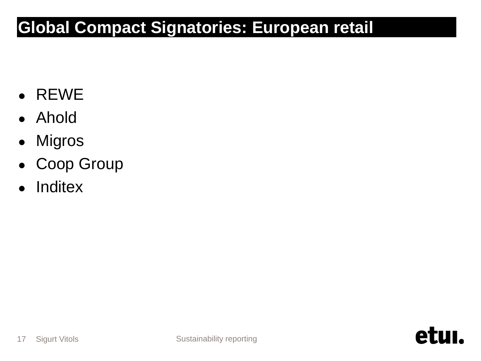### **Global Compact Signatories: European retail**

- REWE
- Ahold
- Migros
- Coop Group
- Inditex

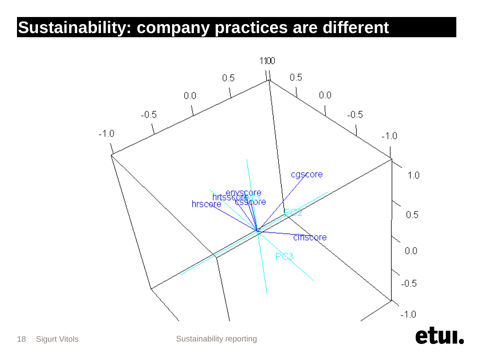### **Sustainability: company practices are different**